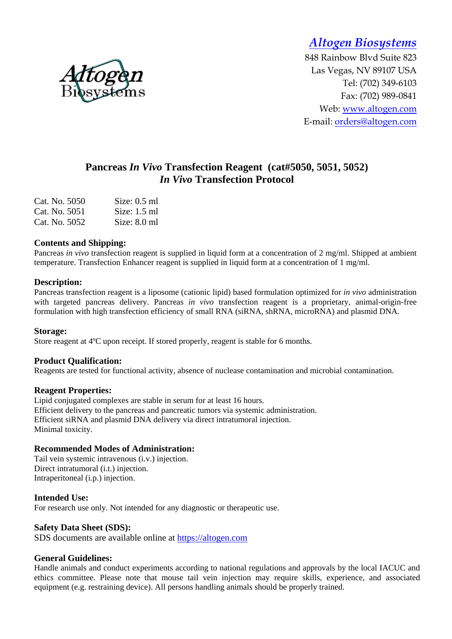*Altogen Biosystems* 

848 Rainbow Blvd Suite 823 Las Vegas, NV 89107 USA Tel: (702) 349-6103 Fax: (702) 989-0841 Web: www.altogen.com E-mail: orders@altogen.com

# **Pancreas** *In Vivo* **Transfection Reagent (cat#5050, 5051, 5052)**  *In Vivo* **Transfection Protocol**

| Cat. No. 5050 | Size: $0.5$ ml |
|---------------|----------------|
| Cat. No. 5051 | Size: $1.5$ ml |
| Cat. No. 5052 | Size: $8.0$ ml |

### **Contents and Shipping:**

Pancreas *in vivo* transfection reagent is supplied in liquid form at a concentration of 2 mg/ml. Shipped at ambient temperature. Transfection Enhancer reagent is supplied in liquid form at a concentration of 1 mg/ml.

### **Description:**

Pancreas transfection reagent is a liposome (cationic lipid) based formulation optimized for *in vivo* administration with targeted pancreas delivery. Pancreas *in vivo* transfection reagent is a proprietary, animal-origin-free formulation with high transfection efficiency of small RNA (siRNA, shRNA, microRNA) and plasmid DNA.

#### **Storage:**

Store reagent at 4ºC upon receipt. If stored properly, reagent is stable for 6 months.

#### **Product Qualification:**

Reagents are tested for functional activity, absence of nuclease contamination and microbial contamination.

#### **Reagent Properties:**

Lipid conjugated complexes are stable in serum for at least 16 hours. Efficient delivery to the pancreas and pancreatic tumors via systemic administration. Efficient siRNA and plasmid DNA delivery via direct intratumoral injection. Minimal toxicity.

## **Recommended Modes of Administration:**

Tail vein systemic intravenous (i.v.) injection. Direct intratumoral (i.t.) injection. Intraperitoneal (i.p.) injection.

### **Intended Use:**

For research use only. Not intended for any diagnostic or therapeutic use.

#### **Safety Data Sheet (SDS):**

SDS documents are available online at https://altogen.com

#### **General Guidelines:**

Handle animals and conduct experiments according to national regulations and approvals by the local IACUC and ethics committee. Please note that mouse tail vein injection may require skills, experience, and associated equipment (e.g. restraining device). All persons handling animals should be properly trained.